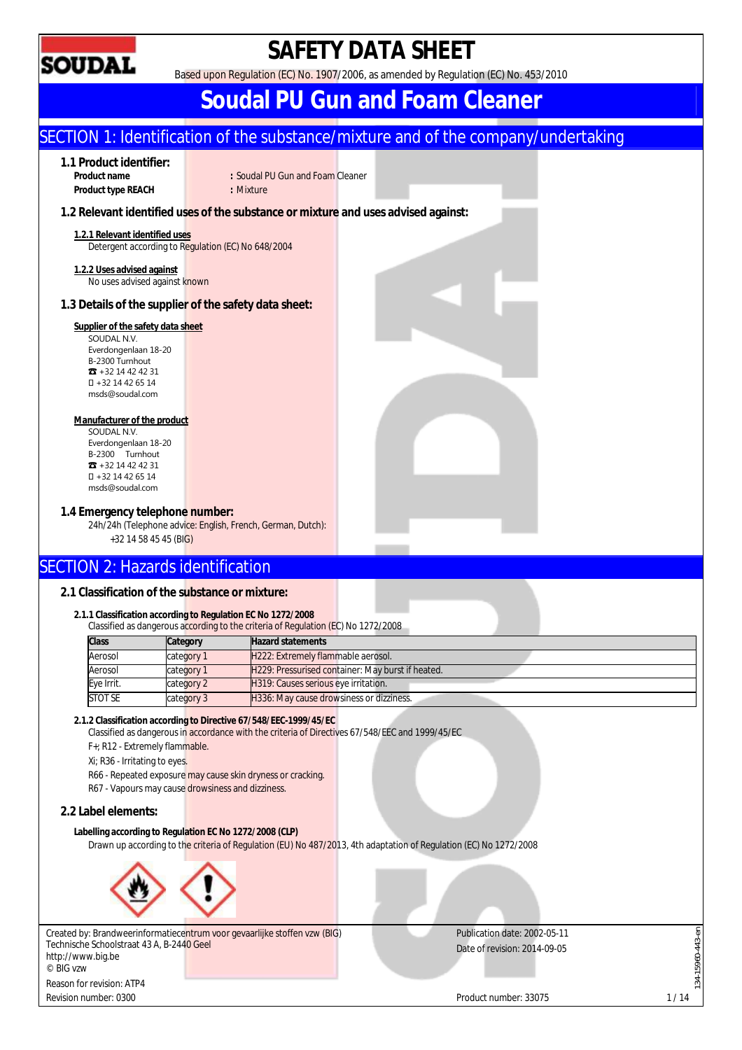

## **SAFETY DATA SHEET**

Based upon Regulation (EC) No. 1907/2006, as amended by Regulation (EC) No. 453/2010

## **Soudal PU Gun and Foam Cleaner**

## SECTION 1: Identification of the substance/mixture and of the company/undertaking **1.1 Product identifier: Product name :** Soudal PU Gun and Foam Cleaner **Product type RFACH : Mixture 1.2 Relevant identified uses of the substance or mixture and uses advised against: 1.2.1 Relevant identified uses**  Detergent according to Regulation (EC) No 648/2004 **1.2.2 Uses advised against**  No uses advised against known **1.3 Details of the supplier of the safety data sheet: Supplier of the safety data sheet**  SOUDAL N.V. Everdongenlaan 18-20 B-2300 Turnhout ☎ +32 14 42 42 31 +32 14 42 65 14 msds@soudal.com **Manufacturer of the product**  SOUDAL N.V. Everdongenlaan 18-20 B-2300 Turnhout ☎ +32 14 42 42 31 +32 14 42 65 14 msds@soudal.com **1.4 Emergency telephone number:**  24h/24h (Telephone advice: English, French, German, Dutch): +32 14 58 45 45 (BIG) SECTION 2: Hazards identification **2.1 Classification of the substance or mixture: 2.1.1 Classification according to Regulation EC No 1272/2008**  Classified as dangerous according to the criteria of Regulation (EC) No 1272/2008 **Class Category Hazard statements** Aerosol category 1 H222: Extremely flammable aerosol. Aerosol category 1 H229: Pressurised container: May burst if heated. Eye Irrit. category 2 H319: Causes serious eye irritation. STOT SE category 3 H336: May cause drowsiness or dizziness. **2.1.2 Classification according to Directive 67/548/EEC-1999/45/EC**  Classified as dangerous in accordance with the criteria of Directives 67/548/EEC and 1999/45/EC F+; R12 - Extremely flammable. Xi; R36 - Irritating to eyes. R66 - Repeated exposure may cause skin dryness or cracking. R67 - Vapours may cause drowsiness and dizziness. **2.2 Label elements: Labelling according to Regulation EC No 1272/2008 (CLP)**  Drawn up according to the criteria of Regulation (EU) No 487/2013, 4th adaptation of Regulation (EC) No 1272/2008 Publication date: 2002-05-11 34-15960-443-en 134-15960-443-en Created by: Brandweerinformatiecentrum voor gevaarlijke stoffen vzw (BIG) Technische Schoolstraat 43 A, B-2440 Geel Date of revision: 2014-09-05 http://www.big.be © BIG vzw Reason for revision: ATP4 Revision number: 0300 1/14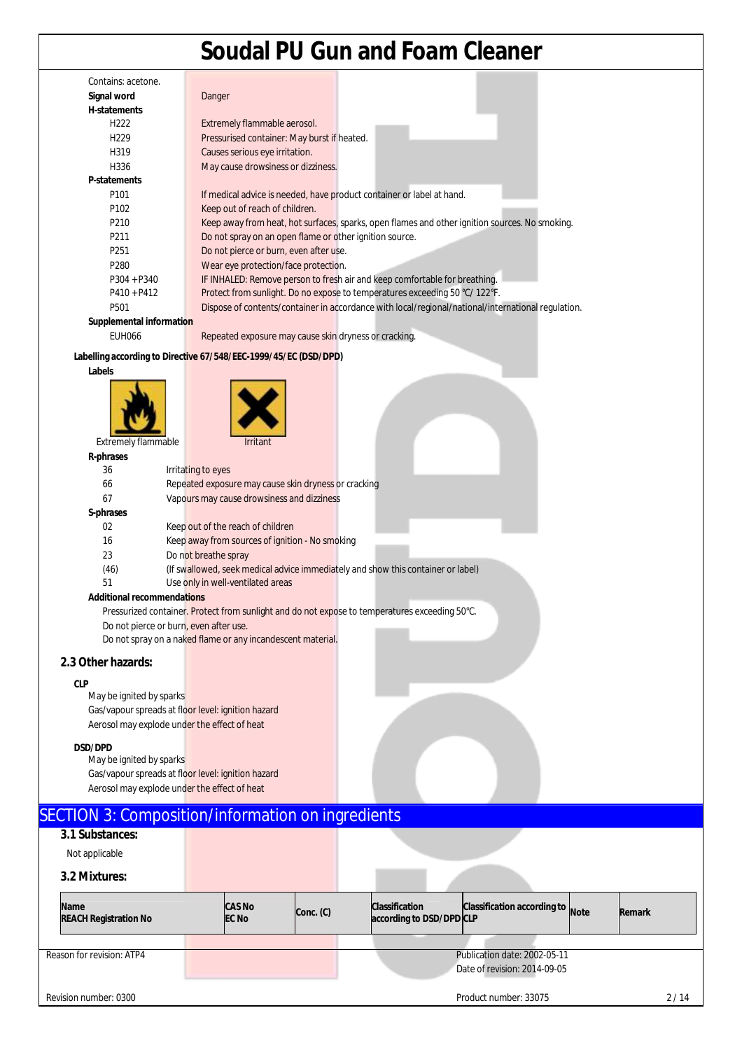|                                                    | <b>Soudal PU Gun and Foam Cleaner</b>                                                              |
|----------------------------------------------------|----------------------------------------------------------------------------------------------------|
| Contains: acetone.                                 |                                                                                                    |
| Signal word                                        | Danger                                                                                             |
| H-statements                                       |                                                                                                    |
| H <sub>222</sub>                                   | Extremely flammable aerosol.                                                                       |
| H <sub>229</sub>                                   | Pressurised container: May burst if heated.                                                        |
| H319                                               | Causes serious eye irritation.                                                                     |
| H336                                               | May cause drowsiness or dizziness.                                                                 |
| P-statements                                       |                                                                                                    |
| P <sub>101</sub>                                   | If medical advice is needed, have product container or label at hand.                              |
| P102                                               | Keep out of reach of children.                                                                     |
| P210                                               | Keep away from heat, hot surfaces, sparks, open flames and other ignition sources. No smoking.     |
| P211                                               | Do not spray on an open flame or other ignition source.                                            |
| P251                                               | Do not pierce or burn, even after use.                                                             |
| P280                                               | Wear eye protection/face protection.                                                               |
| P304 + P340                                        | IF INHALED: Remove person to fresh air and keep comfortable for breathing.                         |
| $P410 + P412$                                      | Protect from sunlight. Do no expose to temperatures exceeding 50 °C/ 122°F.                        |
| P501                                               | Dispose of contents/container in accordance with local/regional/national/international regulation. |
| Supplemental information                           |                                                                                                    |
| <b>EUH066</b>                                      | Repeated exposure may cause skin dryness or cracking.                                              |
|                                                    | Labelling according to Directive 67/548/EEC-1999/45/EC (DSD/DPD)                                   |
| Labels                                             |                                                                                                    |
|                                                    |                                                                                                    |
| Extremely flammable                                | Irritant                                                                                           |
| R-phrases                                          |                                                                                                    |
| 36                                                 | Irritating to eyes                                                                                 |
| 66                                                 | Repeated exposure may cause skin dryness or cracking                                               |
| 67                                                 | Vapours may cause drowsiness and dizziness                                                         |
| S-phrases                                          |                                                                                                    |
| 02                                                 | Keep out of the reach of children                                                                  |
| 16                                                 | Keep away from sources of ignition - No smoking                                                    |
| 23                                                 | Do not breathe spray                                                                               |
| (46)                                               | (If swallowed, seek medical advice immediately and show this container or label)                   |
| 51                                                 | Use only in well-ventilated areas                                                                  |
| Additional recommendations                         |                                                                                                    |
|                                                    | Pressurized container. Protect from sunlight and do not expose to temperatures exceeding 50°C.     |
| Do not pierce or burn, even after use.             | Do not spray on a naked flame or any incandescent material.                                        |
| 2.3 Other hazards:                                 |                                                                                                    |
| <b>CLP</b>                                         |                                                                                                    |
| May be ignited by sparks                           |                                                                                                    |
| Gas/vapour spreads at floor level: ignition hazard |                                                                                                    |
| Aerosol may explode under the effect of heat       |                                                                                                    |
|                                                    |                                                                                                    |
| <b>DSD/DPD</b><br>May be ignited by sparks         |                                                                                                    |
| Gas/vapour spreads at floor level: ignition hazard |                                                                                                    |
| Aerosol may explode under the effect of heat       |                                                                                                    |
|                                                    | <b>SECTION 3: Composition/information on ingredients</b>                                           |
| 3.1 Substances:                                    |                                                                                                    |
|                                                    |                                                                                                    |
| Not applicable                                     |                                                                                                    |
| 3.2 Mixtures:                                      |                                                                                                    |
|                                                    |                                                                                                    |

|  | <b>Name</b><br><b>REACH Registration No</b> |  | <b>CAS No</b><br><b>EC No</b> | Conc. (C)                    | <b>Classification</b><br>according to DSD/DPD CLP | Classification according to Note |  | Remark |  |
|--|---------------------------------------------|--|-------------------------------|------------------------------|---------------------------------------------------|----------------------------------|--|--------|--|
|  |                                             |  |                               |                              |                                                   |                                  |  |        |  |
|  | Reason for revision: ATP4                   |  |                               |                              |                                                   | Publication date: 2002-05-11     |  |        |  |
|  |                                             |  |                               | Date of revision: 2014-09-05 |                                                   |                                  |  |        |  |
|  | Revision number: 0300                       |  |                               |                              |                                                   | Product number: 33075            |  | 2/14   |  |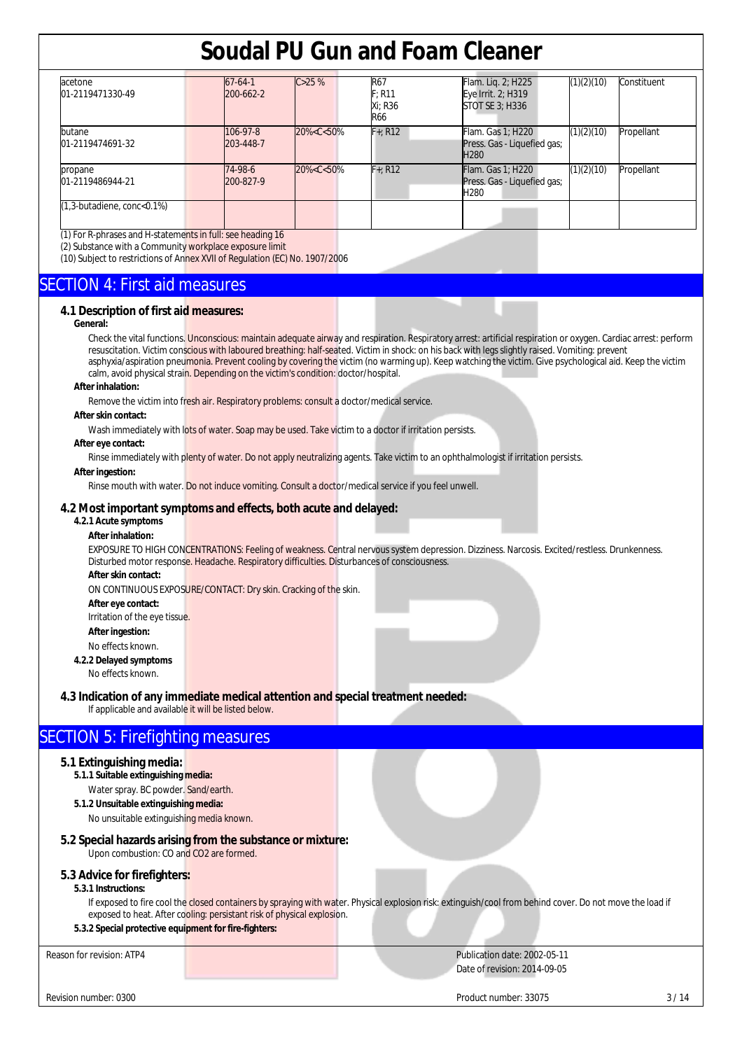| acetone<br>01-2119471330-49        | $67 - 64 - 1$<br>200-662-2 | C > 25%                                                                                                                                                                             | R67<br>F: R11<br>Xi: R36<br><b>R66</b> | Flam. Lig. 2; H225<br>Eye Irrit. 2; H319<br>STOT SE 3; H336                 | (1)(2)(10) | Constituent |
|------------------------------------|----------------------------|-------------------------------------------------------------------------------------------------------------------------------------------------------------------------------------|----------------------------------------|-----------------------------------------------------------------------------|------------|-------------|
| butane<br>01-2119474691-32         | 106-97-8<br>203-448-7      | 20% <c<50%< td=""><td><math>F + R12</math></td><td>Flam. Gas 1; H220<br/>Press. Gas - Liquefied gas;<br/>H<sub>280</sub></td><td>(1)(2)(10)</td><td>Propellant</td></c<50%<>        | $F + R12$                              | Flam. Gas 1; H220<br>Press. Gas - Liquefied gas;<br>H <sub>280</sub>        | (1)(2)(10) | Propellant  |
| propane<br>01-2119486944-21        | 74-98-6<br>200-827-9       | 20% <c<50%< td=""><td><math>F + R12</math></td><td><b>Flam.</b> Gas 1; H220<br/>Press. Gas - Liquefied gas;<br/>H<sub>280</sub></td><td>(1)(2)(10)</td><td>Propellant</td></c<50%<> | $F + R12$                              | <b>Flam.</b> Gas 1; H220<br>Press. Gas - Liquefied gas;<br>H <sub>280</sub> | (1)(2)(10) | Propellant  |
| $(1,3$ -butadiene, conc< $0.1\%$ ) |                            |                                                                                                                                                                                     |                                        |                                                                             |            |             |

(1) For R-phrases and H-statements in full: see heading 16

(2) Substance with a Community workplace exposure limit

(10) Subject to restrictions of Annex XVII of Regulation (EC) No. 1907/2006

## SECTION 4: First aid measures

## **4.1 Description of first aid measures:**

#### **General:**

Check the vital functions. Unconscious: maintain adequate airway and respiration. Respiratory arrest: artificial respiration or oxygen. Cardiac arrest: perform resuscitation. Victim conscious with laboured breathing: half-seated. Victim in shock: on his back with legs slightly raised. Vomiting: prevent asphyxia/aspiration pneumonia. Prevent cooling by covering the victim (no warming up). Keep watching the victim. Give psychological aid. Keep the victim calm, avoid physical strain. Depending on the victim's condition: doctor/hospital.

#### **After inhalation:**

Remove the victim into fresh air. Respiratory problems: consult a doctor/medical service.

#### **After skin contact:**

Wash immediately with lots of water. Soap may be used. Take victim to a doctor if irritation persists.

## **After eye contact:**

Rinse immediately with plenty of water. Do not apply neutralizing agents. Take victim to an ophthalmologist if irritation persists.

## **After ingestion:**

Rinse mouth with water. Do not induce vomiting. Consult a doctor/medical service if you feel unwell.

## **4.2 Most important symptoms and effects, both acute and delayed:**

#### **4.2.1 Acute symptoms After inhalation:**

EXPOSURE TO HIGH CONCENTRATIONS: Feeling of weakness. Central nervous system depression. Dizziness. Narcosis. Excited/restless. Drunkenness. Disturbed motor response. Headache. Respiratory difficulties. Disturbances of consciousness. **After skin contact:** 

ON CONTINUOUS EXPOSURE/CONTACT: Dry skin. Cracking of the skin.

**After eye contact:** 

Irritation of the eye tissue.

**After ingestion:** 

No effects known.

**4.2.2 Delayed symptoms**  No effects known.

## **4.3 Indication of any immediate medical attention and special treatment needed:**

If applicable and available it will be listed below.

## SECTION 5: Firefighting measures

## **5.1 Extinguishing media:**

- **5.1.1 Suitable extinguishing media:**  Water spray. BC powder. Sand/earth.
- **5.1.2 Unsuitable extinguishing media:**

No unsuitable extinguishing media known.

## **5.2 Special hazards arising from the substance or mixture:**

Upon combustion: CO and CO2 are formed.

## **5.3 Advice for firefighters:**

#### **5.3.1 Instructions:**

If exposed to fire cool the closed containers by spraying with water. Physical explosion risk: extinguish/cool from behind cover. Do not move the load if exposed to heat. After cooling: persistant risk of physical explosion.

## **5.3.2 Special protective equipment for fire-fighters:**

Reason for revision: ATP4 **Publication date: 2002-05-11** Publication date: 2002-05-11 Date of revision: 2014-09-05

Revision number: 0300 3/14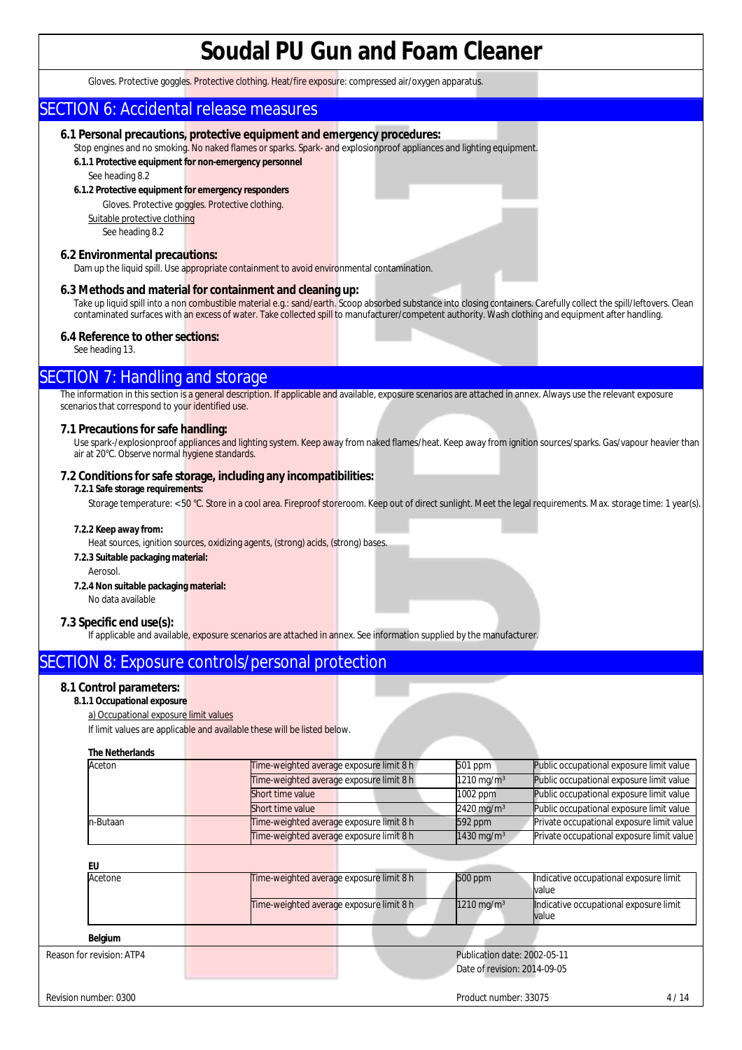Gloves. Protective goggles. Protective clothing. Heat/fire exposure: compressed air/oxygen apparatus.

## SECTION 6: Accidental release measures

## **6.1 Personal precautions, protective equipment and emergency procedures:**

Stop engines and no smoking. No naked flames or sparks. Spark- and explosionproof appliances and lighting equipment. **6.1.1 Protective equipment for non-emergency personnel** 

See heading 8.2

#### **6.1.2 Protective equipment for emergency responders**

Gloves. Protective goggles. Protective clothing.

Suitable protective clothing See heading 8.2

### **6.2 Environmental precautions:**

Dam up the liquid spill. Use appropriate containment to avoid environmental contamination.

## **6.3 Methods and material for containment and cleaning up:**

Take up liquid spill into a non combustible material e.g.: sand/earth. Scoop absorbed substance into closing containers. Carefully collect the spill/leftovers. Clean contaminated surfaces with an excess of water. Take collected spill to manufacturer/competent authority. Wash clothing and equipment after handling.

## **6.4 Reference to other sections:**

See heading 13.

## SECTION 7: Handling and storage

The information in this section is a general description. If applicable and available, exposure scenarios are attached in annex. Always use the relevant exposure scenarios that correspond to your identified use.

## **7.1 Precautions for safe handling:**

Use spark-/explosionproof appliances and lighting system. Keep away from naked flames/heat. Keep away from ignition sources/sparks. Gas/vapour heavier than air at 20°C. Observe normal hygiene standards.

## **7.2 Conditions for safe storage, including any incompatibilities:**

#### **7.2.1 Safe storage requirements:**

Storage temperature: < 50 °C. Store in a cool area. Fireproof storeroom. Keep out of direct sunlight. Meet the legal requirements. Max. storage time: 1 year(s).

### **7.2.2 Keep away from:**

Heat sources, ignition sources, oxidizing agents, (strong) acids, (strong) bases.

## **7.2.3 Suitable packaging material:**

Aerosol.

#### **7.2.4 Non suitable packaging material:**

No data available

## **7.3 Specific end use(s):**

If applicable and available, exposure scenarios are attached in annex. See information supplied by the manufacturer.

## SECTION 8: Exposure controls/personal protection

## **8.1 Control parameters:**

## **8.1.1 Occupational exposure**

a) Occupational exposure limit values

If limit values are applicable and available these will be listed below.

#### **The Netherlands**

| Aceton   | Time-weighted average exposure limit 8 h | 501 ppm                   | Public occupational exposure limit value  |
|----------|------------------------------------------|---------------------------|-------------------------------------------|
|          | Time-weighted average exposure limit 8 h | $1210 \,\mathrm{mag/m^3}$ | Public occupational exposure limit value  |
|          | Short time value                         | $1002$ ppm                | Public occupational exposure limit value  |
|          | Short time value                         | $2420 \,\mathrm{mg/m^3}$  | Public occupational exposure limit value  |
| n-Butaan | Time-weighted average exposure limit 8 h | $592$ ppm                 | Private occupational exposure limit value |
|          | Time-weighted average exposure limit 8 h | 1430 mg/m <sup>3</sup>    | Private occupational exposure limit value |

## **EU**

| Lυ                        |                                          |  |                              |                                                 |      |
|---------------------------|------------------------------------------|--|------------------------------|-------------------------------------------------|------|
| Acetone                   | Time-weighted average exposure limit 8 h |  | 500 ppm                      | Indicative occupational exposure limit<br>value |      |
|                           | Time-weighted average exposure limit 8 h |  | $1210 \,\mathrm{mg/m^3}$     | Indicative occupational exposure limit<br>value |      |
| Belgium                   |                                          |  |                              |                                                 |      |
| Reason for revision: ATP4 |                                          |  | Publication date: 2002-05-11 |                                                 |      |
|                           |                                          |  | Date of revision: 2014-09-05 |                                                 |      |
| Revision number: 0300     |                                          |  | Product number: 33075        |                                                 | 4/14 |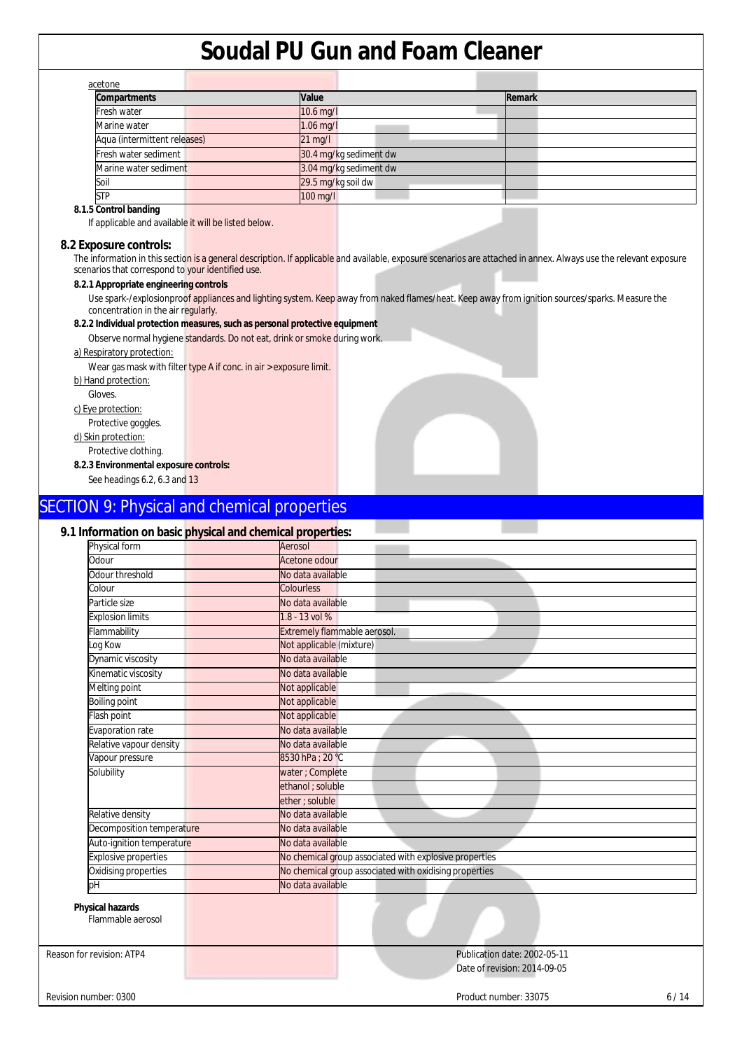| <b>Compartments</b>          | Value                  | Remark |
|------------------------------|------------------------|--------|
| Fresh water                  | $10.6$ mg/l            |        |
| Marine water                 | $1.06$ mg/l            |        |
| Aqua (intermittent releases) | $21$ mg/l              |        |
| Fresh water sediment         | 30.4 mg/kg sediment dw |        |
| Marine water sediment        | 3.04 mg/kg sediment dw |        |
| Soil                         | 29.5 mg/kg soil dw     |        |
| <b>STP</b>                   | 100 mg/l               |        |

## **8.1.5 Control banding**

If applicable and available it will be listed below.

### **8.2 Exposure controls:**

The information in this section is a general description. If applicable and available, exposure scenarios are attached in annex. Always use the relevant exposure scenarios that correspond to your identified use.

## **8.2.1 Appropriate engineering controls**

Use spark-/explosionproof appliances and lighting system. Keep away from naked flames/heat. Keep away from ignition sources/sparks. Measure the concentration in the air regularly.

#### **8.2.2 Individual protection measures, such as personal protective equipment**

Observe normal hygiene standards. Do not eat, drink or smoke during work.

#### a) Respiratory protection:

Wear gas mask with filter type A if conc. in air > exposure limit.

b) Hand protection:

Gloves.

c) Eye protection:

Protective goggles.

d) Skin protection:

Protective clothing.

**8.2.3 Environmental exposure controls:**

See headings 6.2, 6.3 and 13

## SECTION 9: Physical and chemical properties

## **9.1 Information on basic physical and chemical properties:**

| Physical form                                | tion on pagio pri joioal and onomical proportiosi<br>Aerosol |
|----------------------------------------------|--------------------------------------------------------------|
| Odour                                        | Acetone odour                                                |
| Odour threshold                              | No data available                                            |
| Colour                                       | <b>Colourless</b>                                            |
| Particle size                                | No data available                                            |
| <b>Explosion limits</b>                      | 1.8 - 13 vol %                                               |
| <b>Iammability</b>                           | Extremely flammable aerosol.                                 |
| og Kow                                       | Not applicable (mixture)                                     |
| Dynamic viscosity                            | No data available                                            |
| Kinematic viscosity                          | No data available                                            |
| Melting point                                | Not applicable                                               |
| Boiling point                                | Not applicable                                               |
| lash point                                   | Not applicable                                               |
| Evaporation rate                             | No data available                                            |
| Relative vapour density                      | No data available                                            |
| Vapour pressure                              | 8530 hPa ; 20 °C                                             |
| Solubility                                   | water ; Complete                                             |
|                                              | ethanol ; soluble                                            |
|                                              | ether; soluble                                               |
| Relative density                             | No data available                                            |
| Decomposition temperature                    | No data available                                            |
| Auto-ignition temperature                    | No data available                                            |
| <b>Explosive properties</b>                  | No chemical group associated with explosive properties       |
| Oxidising properties                         | No chemical group associated with oxidising properties       |
| bН                                           | No data available                                            |
| <b>Physical hazards</b><br>Flammable aerosol |                                                              |
| Reason for revision: ATP4                    | Publication date: 2002-05-11                                 |

Date of revision: 2014-09-05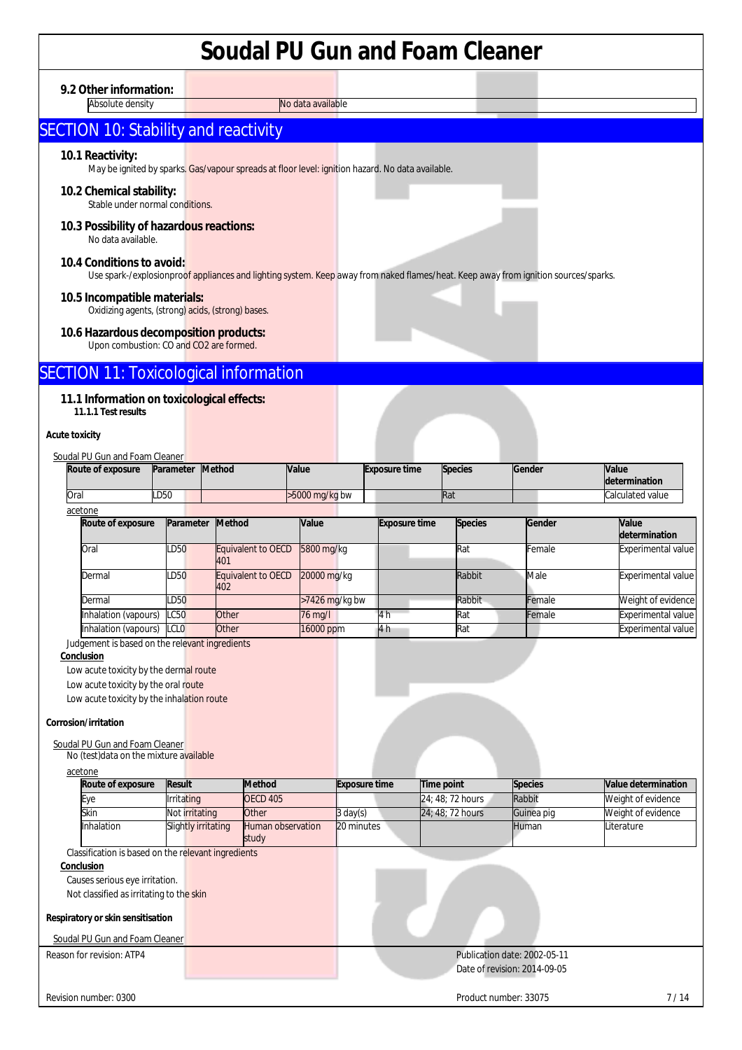**9.2 Other information:** 

Absolute density No data available

## SECTION 10: Stability and reactivity

## **10.1 Reactivity:**

May be ignited by sparks. Gas/vapour spreads at floor level: ignition hazard. No data available.

## **10.2 Chemical stability:**

Stable under normal conditions.

#### **10.3 Possibility of hazardous reactions:**  No data available.

## **10.4 Conditions to avoid:**

Use spark-/explosionproof appliances and lighting system. Keep away from naked flames/heat. Keep away from ignition sources/sparks.

## **10.5 Incompatible materials:**

Oxidizing agents, (strong) acids, (strong) bases.

## **10.6 Hazardous decomposition products:**

Upon combustion: CO and CO2 are formed.

## **SECTION 11: Toxicological information**

## **11.1 Information on toxicological effects:**

**11.1.1 Test results** 

## **Acute toxicity**

| Soudal PU Gun and Foam Cleaner |                   |           |        |                  |                      |                |        |                               |  |
|--------------------------------|-------------------|-----------|--------|------------------|----------------------|----------------|--------|-------------------------------|--|
|                                | Route of exposure | Parameter | Method | <b>Value</b>     | <b>Exposure time</b> | <b>Species</b> | Gender | <b>Value</b><br>determination |  |
|                                | Oral              | LD50      |        | $>5000$ mg/kg bw |                      | <b>Rat</b>     |        | Calculated value              |  |
|                                | acetone           |           |        |                  |                      |                |        |                               |  |

| Route of exposure         | Parameter Method |                           | Value          | <b>Exposure time</b> | <b>Species</b> | Gender | Value<br>determination    |
|---------------------------|------------------|---------------------------|----------------|----------------------|----------------|--------|---------------------------|
| Oral                      | LD50             | Equivalent to OECD<br>401 | 5800 mg/kg     |                      | Rat            | Female | <b>Experimental value</b> |
| Dermal                    | LD50             | Equivalent to OECD<br>402 | 20000 mg/kg    |                      | Rabbit         | Male   | <b>Experimental value</b> |
| Dermal                    | LD50             |                           | >7426 mg/kg bw |                      | Rabbit         | Female | Weight of evidence        |
| Inhalation (vapours) LC50 |                  | Other                     | 76 mg/l        |                      | Rat            | Female | <b>Experimental value</b> |
| Inhalation (vapours) LCLO |                  | Other                     | 16000 ppm      | 4 h                  | Rat            |        | <b>Experimental value</b> |

Judgement is based on the relevant ingredients

### **Conclusion**

Low acute toxicity by the dermal route

Low acute toxicity by the oral route

Low acute toxicity by the inhalation route

## **Corrosion/irritation**

## Soudal PU Gun and Foam Cleaner

No (test)data on the mixture available

| Route of exposure | Result              | <b>Method</b>                     | <b>Exposure time</b> | Time point       | <b>Species</b> | <b>Value determination</b> |
|-------------------|---------------------|-----------------------------------|----------------------|------------------|----------------|----------------------------|
| Eve               | <b>Irritating</b>   | <b>OECD 405</b>                   |                      | 24:48:72 hours   | Rabbit         | Weight of evidence         |
| Skin              | Not irritating      | Other                             | $3 \text{ day}(s)$   | 24: 48: 72 hours | Guinea pig     | Weight of evidence         |
| <b>Inhalation</b> | Slightly irritating | <b>Human observation</b><br>study | 20 minutes           |                  | <b>IHuman</b>  | Literature                 |

Classification is based on the relevant ingredients

## **Conclusion**

Causes serious eye irritation.

Not classified as irritating to the skin

## **Respiratory or skin sensitisation**

Soudal PU Gun and Foam Cleaner

## Reason for revision: ATP4 **Publication date: 2002-05-11** Date of revision: 2014-09-05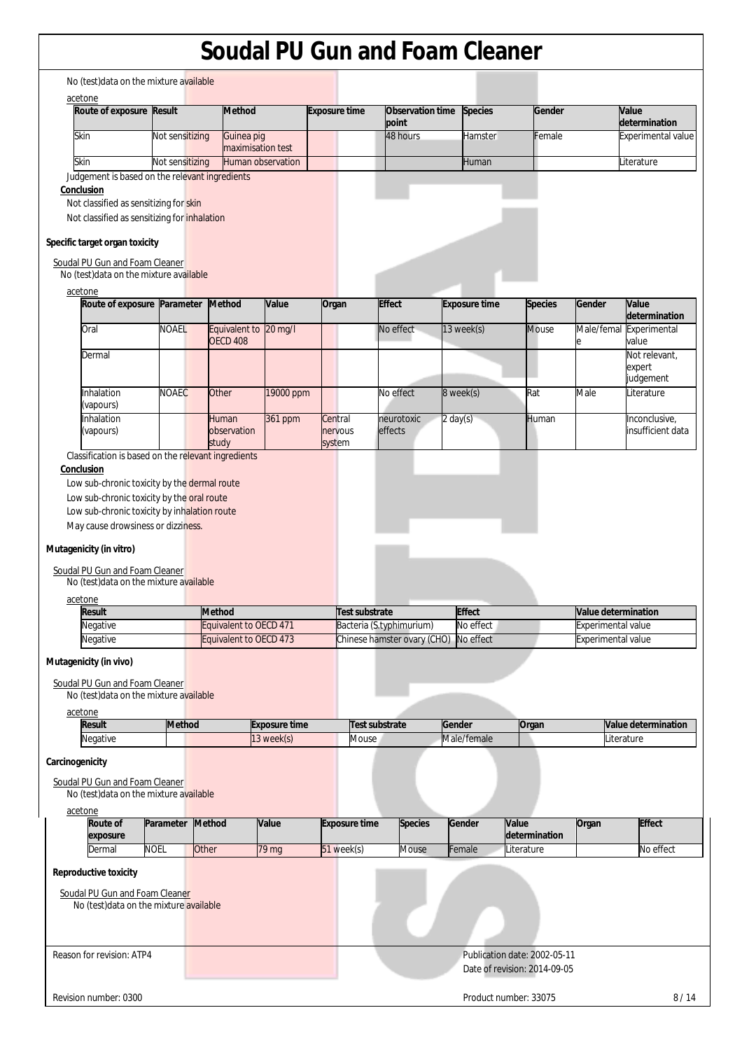|                                                                                                                                                                                            | Route of exposure Result                   | <b>Method</b>                    |                      | <b>Exposure time</b> | Observation time            | <b>Species</b>       | Gender                 |                     | <b>Value</b>                         |
|--------------------------------------------------------------------------------------------------------------------------------------------------------------------------------------------|--------------------------------------------|----------------------------------|----------------------|----------------------|-----------------------------|----------------------|------------------------|---------------------|--------------------------------------|
|                                                                                                                                                                                            |                                            |                                  |                      |                      | point                       |                      |                        |                     | determination                        |
| Skin                                                                                                                                                                                       | Not sensitizing                            | Guinea pig<br>maximisation test  |                      |                      | 48 hours                    | Hamster              | Female                 |                     | Experimental value                   |
| Skin                                                                                                                                                                                       | Not sensitizing                            | Human observation                |                      |                      |                             | Human                |                        |                     | Literature                           |
| Judgement is based on the relevant ingredients                                                                                                                                             |                                            |                                  |                      |                      |                             |                      |                        |                     |                                      |
| Conclusion<br>Not classified as sensitizing for skin<br>Not classified as sensitizing for inhalation<br>Specific target organ toxicity                                                     |                                            |                                  |                      |                      |                             |                      |                        |                     |                                      |
| Soudal PU Gun and Foam Cleaner                                                                                                                                                             |                                            |                                  |                      |                      |                             |                      |                        |                     |                                      |
| No (test) data on the mixture available<br>acetone                                                                                                                                         |                                            |                                  |                      |                      |                             |                      |                        |                     |                                      |
| Route of exposure Parameter                                                                                                                                                                |                                            | <b>Method</b>                    | Value                | Organ                | <b>Effect</b>               | <b>Exposure time</b> | <b>Species</b>         | Gender              | Value<br>determination               |
| Oral                                                                                                                                                                                       | <b>NOAEL</b>                               | Equivalent to<br><b>OECD 408</b> | 20 mg/l              |                      | No effect                   | 13 week(s)           | <b>Mouse</b>           | Male/femal          | Experimental                         |
| Dermal                                                                                                                                                                                     |                                            |                                  |                      |                      |                             |                      |                        |                     | value<br>Not relevant,               |
|                                                                                                                                                                                            |                                            |                                  |                      |                      |                             |                      |                        |                     | expert                               |
|                                                                                                                                                                                            |                                            |                                  |                      |                      |                             |                      |                        |                     | judgement                            |
| Inhalation<br>(vapours)                                                                                                                                                                    | <b>NOAEC</b>                               | Other                            | 19000 ppm            |                      | No effect                   | 8 week(s)            | Rat                    | Male                | Literature                           |
| Inhalation<br>(vapours)                                                                                                                                                                    |                                            | Human<br>observation             | 361 ppm              | Central<br>nervous   | neurotoxic<br>effects       | $2 \text{ day}(s)$   | Human                  |                     | Inconclusive,<br>insufficient data   |
|                                                                                                                                                                                            |                                            | study                            |                      | system               |                             |                      |                        |                     |                                      |
|                                                                                                                                                                                            | Low sub-chronic toxicity by the oral route |                                  |                      |                      |                             |                      |                        |                     |                                      |
| Low sub-chronic toxicity by inhalation route<br>May cause drowsiness or dizziness.<br>Mutagenicity (in vitro)<br>Soudal PU Gun and Foam Cleaner<br>No (test) data on the mixture available |                                            |                                  |                      |                      |                             |                      |                        |                     |                                      |
| acetone<br><b>Result</b>                                                                                                                                                                   |                                            | <b>Method</b>                    |                      | Test substrate       |                             | <b>Effect</b>        |                        | Value determination |                                      |
| Negative                                                                                                                                                                                   |                                            | Equivalent to OECD 471           |                      |                      | Bacteria (S.typhimurium)    | No effect            |                        | Experimental value  |                                      |
| Negative                                                                                                                                                                                   |                                            | Equivalent to OECD 473           |                      |                      | Chinese hamster ovary (CHO) | No effect            |                        | Experimental value  |                                      |
| Mutagenicity (in vivo)<br>Soudal PU Gun and Foam Cleaner<br>No (test) data on the mixture available<br>acetone                                                                             |                                            |                                  |                      |                      |                             |                      |                        |                     |                                      |
| <b>Result</b>                                                                                                                                                                              | <b>Method</b>                              |                                  | <b>Exposure time</b> |                      | Test substrate              | Gender               | Organ                  |                     |                                      |
| Negative                                                                                                                                                                                   |                                            |                                  | 13 week(s)           | Mouse                |                             | Male/female          |                        |                     | Literature                           |
| Carcinogenicity<br>Soudal PU Gun and Foam Cleaner                                                                                                                                          |                                            |                                  |                      |                      |                             |                      |                        |                     |                                      |
| No (test) data on the mixture available<br>acetone                                                                                                                                         |                                            |                                  |                      |                      |                             |                      |                        |                     |                                      |
| Route of<br>exposure                                                                                                                                                                       | Parameter                                  | Method                           | Value                | <b>Exposure time</b> | <b>Species</b>              | Gender               | Value<br>determination | Organ               | Value determination<br><b>Effect</b> |
| Dermal                                                                                                                                                                                     | <b>NOEL</b>                                | Other                            | 79 mg                | 51 week(s)           | <b>Mouse</b>                | Female               | .iterature             |                     | No effect                            |
| Reproductive toxicity                                                                                                                                                                      |                                            |                                  |                      |                      |                             |                      |                        |                     |                                      |
| Soudal PU Gun and Foam Cleaner<br>No (test)data on the mixture available                                                                                                                   |                                            |                                  |                      |                      |                             |                      |                        |                     |                                      |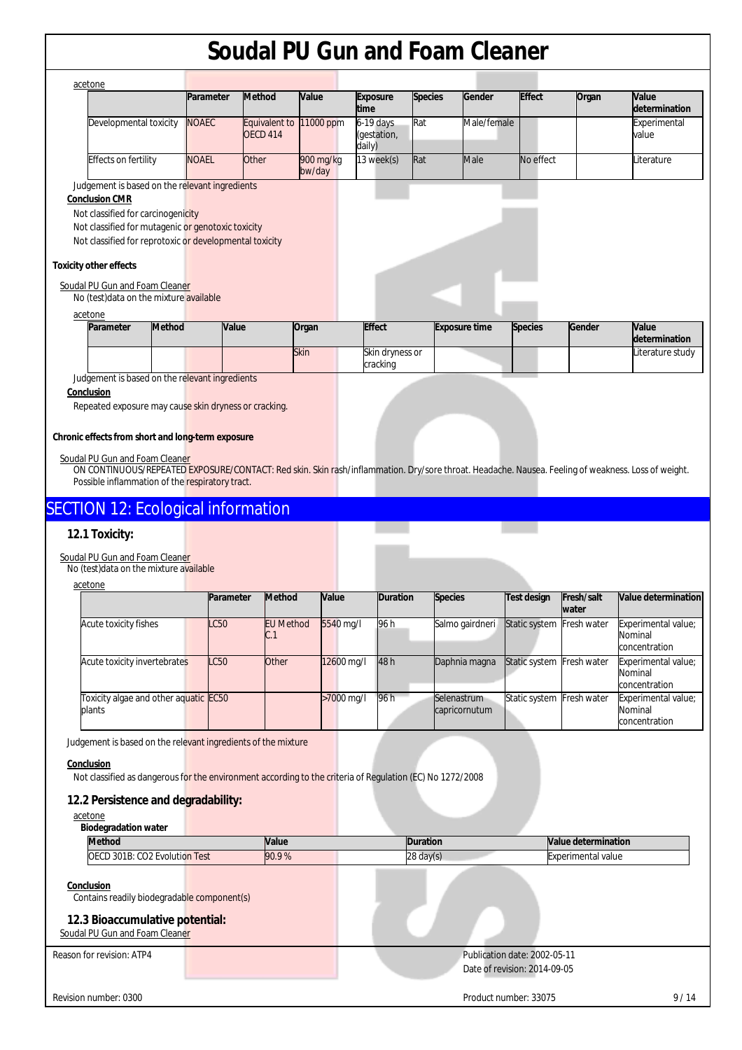| acetone                                                 |              |                                  |                     |                                      |                |                      |                |        |                        |
|---------------------------------------------------------|--------------|----------------------------------|---------------------|--------------------------------------|----------------|----------------------|----------------|--------|------------------------|
|                                                         | Parameter    | <b>Method</b>                    | Value               | <b>Exposure</b><br><b>time</b>       | <b>Species</b> | Gender               | <b>Effect</b>  | Organ  | Value<br>determination |
| Developmental toxicity                                  | <b>NOAEC</b> | Equivalent to<br><b>OECD 414</b> | 11000 ppm           | $6-19$ days<br>(gestation,<br>daily) | Rat            | Male/female          |                |        | Experimental<br>value  |
| Effects on fertility                                    | <b>NOAEL</b> | Other                            | 900 mg/kg<br>bw/day | 13 week(s)                           | Rat            | Male                 | No effect      |        | Literature             |
| Judgement is based on the relevant ingredients          |              |                                  |                     |                                      |                |                      |                |        |                        |
| <b>Conclusion CMR</b>                                   |              |                                  |                     |                                      |                |                      |                |        |                        |
| Not classified for carcinogenicity                      |              |                                  |                     |                                      |                |                      |                |        |                        |
| Not classified for mutagenic or genotoxic toxicity      |              |                                  |                     |                                      |                |                      |                |        |                        |
| Not classified for reprotoxic or developmental toxicity |              |                                  |                     |                                      |                |                      |                |        |                        |
| xicity other effects                                    |              |                                  |                     |                                      |                |                      |                |        |                        |
| ioudal PU Gun and Foam Cleane <mark>r</mark>            |              |                                  |                     |                                      |                |                      |                |        |                        |
| No (test) data on the mixture available                 |              |                                  |                     |                                      |                |                      |                |        |                        |
| acetone                                                 |              |                                  |                     |                                      |                |                      |                |        |                        |
| <b>Method</b><br>Parameter                              | Value        |                                  | Organ               | <b>Effect</b>                        |                | <b>Exposure time</b> | <b>Species</b> | Gender | Value<br>determination |

### **To**

| Parameter | <b>Method</b> | <b>Value</b> | Organ | <b>Effect</b>               | <b>Exposure time</b> | <b>Species</b> | Gender | <b>Value</b><br>determination |
|-----------|---------------|--------------|-------|-----------------------------|----------------------|----------------|--------|-------------------------------|
|           |               |              | Skin  | Skin dryness or<br>cracking |                      |                |        | Literature study              |

Judgement is based on the relevant ingredients

**Conclusion** 

Repeated exposure may cause skin dryness or cracking.

#### **Chronic effects from short and long-term exposure**

Soudal PU Gun and Foam Cleaner

ON CONTINUOUS/REPEATED EXPOSURE/CONTACT: Red skin. Skin rash/inflammation. Dry/sore throat. Headache. Nausea. Feeling of weakness. Loss of weight. Possible inflammation of the respiratory tract.

## SECTION 12: Ecological information

## **12.1 Toxicity:**

Soudal PU Gun and Foam Cleaner

No (test)data on the mixture available

| ∴etone |  |
|--------|--|
|        |  |

|                                                 | Parameter   | <b>Method</b>           | Value      | <b>Duration</b> | <b>Species</b>               | <b>Test design</b> | Fresh/salt<br>water | Value determination                             |
|-------------------------------------------------|-------------|-------------------------|------------|-----------------|------------------------------|--------------------|---------------------|-------------------------------------------------|
| Acute toxicity fishes                           | <b>LC50</b> | <b>EU</b> Method<br>U.I | 5540 mg/l  | 96 h            | Salmo gairdneri              | Static system      | Fresh water         | Experimental value;<br>Nominal<br>concentration |
| Acute toxicity invertebrates                    | <b>LC50</b> | Other                   | 12600 mg/l | 48h             | Daphnia magna                | Static system      | Fresh water         | Experimental value;<br>Nominal<br>concentration |
| Toxicity algae and other aquatic EC50<br>plants |             |                         | >7000 mg/l | 96 h            | Selenastrum<br>capricornutum | Static system      | Fresh water         | Experimental value;<br>Nominal<br>concentration |

Judgement is based on the relevant ingredients of the mixture

#### **Conclusion**

Not classified as dangerous for the environment according to the criteria of Regulation (EC) No 1272/2008

## **12.2 Persistence and degradability:**

acetone

| <b>Biodegradation water</b> |  |
|-----------------------------|--|
|                             |  |

| <b>Method</b>                         | Value | Duration     | <b>Nalue determination</b> |
|---------------------------------------|-------|--------------|----------------------------|
| : CO2 Evolution Test<br>OECD<br>301B: | 90.9% | 28<br>day(s) | Experimental value         |
|                                       |       |              |                            |

#### **Conclusion**

Contains readily biodegradable component(s)

## **12.3 Bioaccumulative potential:**

Soudal PU Gun and Foam Cleaner

## Reason for revision: ATP4 **Publication date: 2002-05-11** Publication date: 2002-05-11 Date of revision: 2014-09-05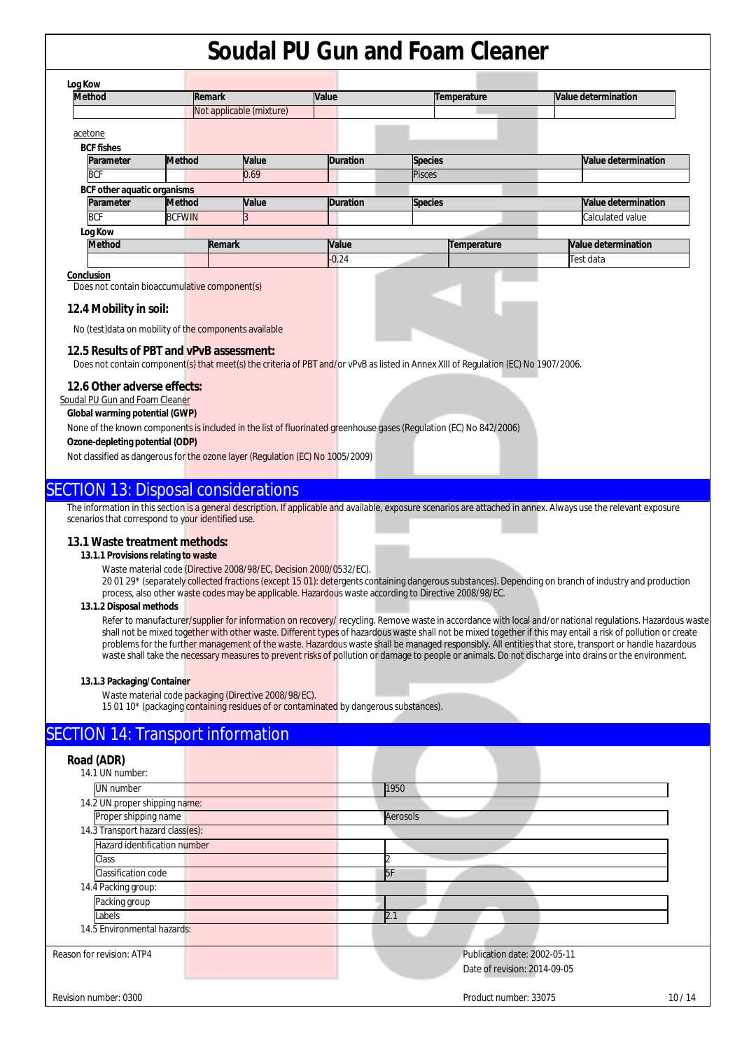| Log Kow                     |               |                          |       |                 |                |             |  |                     |
|-----------------------------|---------------|--------------------------|-------|-----------------|----------------|-------------|--|---------------------|
| <b>Method</b>               |               | Remark                   |       | Value           |                | Temperature |  | Value determination |
|                             |               | Not applicable (mixture) |       |                 |                |             |  |                     |
| acetone                     |               |                          |       |                 |                |             |  |                     |
| <b>BCF fishes</b>           |               |                          |       |                 |                |             |  |                     |
| Parameter                   | <b>Method</b> |                          | Value | <b>Duration</b> | <b>Species</b> |             |  | Value determination |
| <b>BCF</b>                  |               |                          | 0.69  |                 | <b>Pisces</b>  |             |  |                     |
| BCF other aquatic organisms |               |                          |       |                 |                |             |  |                     |
| Parameter                   | <b>Method</b> |                          | Value | <b>Duration</b> | <b>Species</b> |             |  | Value determination |
| <b>BCF</b>                  | <b>BCFWIN</b> |                          |       |                 |                |             |  | Calculated value    |
| Log Kow                     |               |                          |       |                 |                |             |  |                     |
| <b>Method</b>               |               | Remark                   |       | Value           |                | Temperature |  | Value determination |
|                             |               |                          |       | $-0.24$         |                |             |  | Test data           |

#### **Conclusion**

Does not contain bioaccumulative component(s)

## **12.4 Mobility in soil:**

No (test)data on mobility of the components available

## **12.5 Results of PBT and vPvB assessment:**

Does not contain component(s) that meet(s) the criteria of PBT and/or vPvB as listed in Annex XIII of Regulation (EC) No 1907/2006.

## **12.6 Other adverse effects:**

Soudal PU Gun and Foam Cleaner

## **Global warming potential (GWP)**

None of the known components is included in the list of fluorinated greenhouse gases (Regulation (EC) No 842/2006)

### **Ozone-depleting potential (ODP)**

Not classified as dangerous for the ozone layer (Regulation (EC) No 1005/2009)

## SECTION 13: Disposal considerations

The information in this section is a general description. If applicable and available, exposure scenarios are attached in annex. Always use the relevant exposure scenarios that correspond to your identified use.

#### **13.1 Waste treatment methods:**

#### **13.1.1 Provisions relating to waste**

Waste material code (Directive 2008/98/EC, Decision 2000/0532/EC).

20 01 29<sup>\*</sup> (separately collected fractions (except 15 01): detergents containing dangerous substances). Depending on branch of industry and production process, also other waste codes may be applicable. Hazardous waste according to Directive 2008/98/EC.

#### **13.1.2 Disposal methods**

Refer to manufacturer/supplier for information on recovery/ recycling. Remove waste in accordance with local and/or national regulations. Hazardous waste shall not be mixed together with other waste. Different types of hazardous waste shall not be mixed together if this may entail a risk of pollution or create problems for the further management of the waste. Hazardous waste shall be managed responsibly. All entities that store, transport or handle hazardous waste shall take the necessary measures to prevent risks of pollution or damage to people or animals. Do not discharge into drains or the environment.

#### **13.1.3 Packaging/Container**

Waste material code packaging (Directive 2008/98/EC).

15 01 10\* (packaging containing residues of or contaminated by dangerous substances).

## SECTION 14: Transport information

| Road (ADR)<br>14.1 UN number:    |          |                              |       |
|----------------------------------|----------|------------------------------|-------|
| <b>UN</b> number                 | 1950     |                              |       |
| 14.2 UN proper shipping name:    |          |                              |       |
| Proper shipping name             | Aerosols |                              |       |
| 14.3 Transport hazard class(es): |          |                              |       |
| Hazard identification number     |          |                              |       |
| Class                            |          |                              |       |
| Classification code              | 5F       |                              |       |
| 14.4 Packing group:              |          |                              |       |
| Packing group                    |          |                              |       |
| Labels                           | 2.1      |                              |       |
| 14.5 Environmental hazards:      |          |                              |       |
| Reason for revision: ATP4        |          | Publication date: 2002-05-11 |       |
|                                  |          | Date of revision: 2014-09-05 |       |
| Revision number: 0300            |          | Product number: 33075        | 10/14 |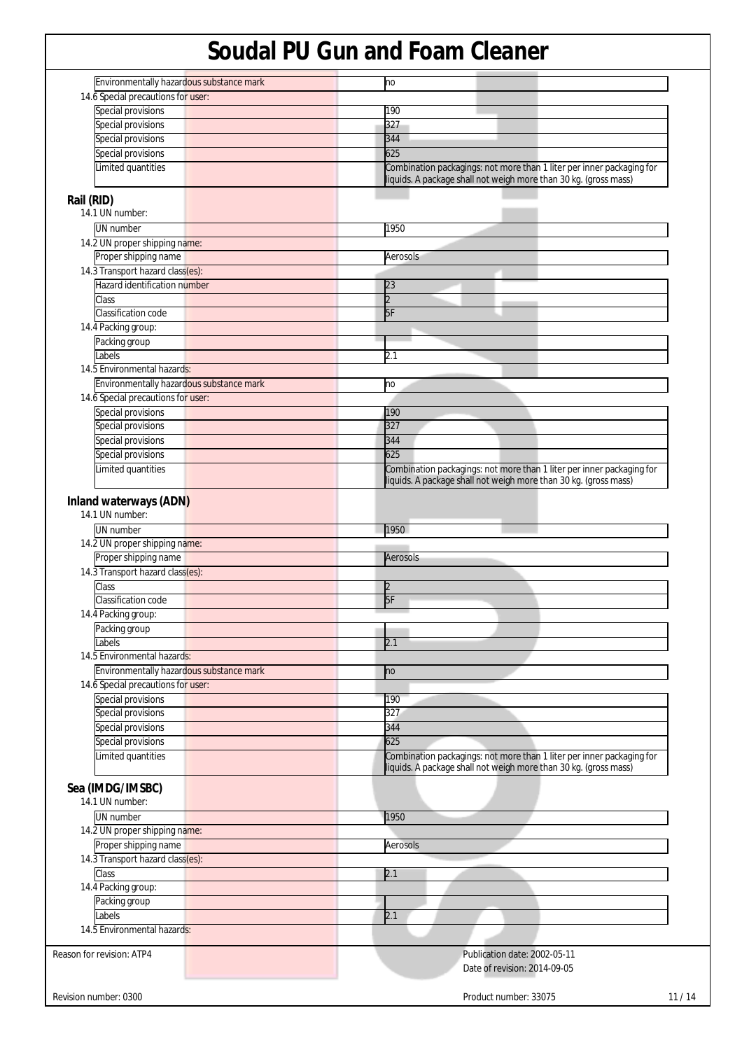| Environmentally hazardous substance mark               | no                                                                                                                                        |
|--------------------------------------------------------|-------------------------------------------------------------------------------------------------------------------------------------------|
| 14.6 Special precautions for user:                     |                                                                                                                                           |
| Special provisions                                     | 190                                                                                                                                       |
| Special provisions                                     | 327                                                                                                                                       |
| Special provisions                                     | 344                                                                                                                                       |
|                                                        |                                                                                                                                           |
| Special provisions<br>Limited quantities               | 625<br>Combination packagings: not more than 1 liter per inner packaging for                                                              |
| Rail (RID)                                             | liquids. A package shall not weigh more than 30 kg. (gross mass)                                                                          |
| 14.1 UN number:<br><b>UN</b> number                    | 1950                                                                                                                                      |
|                                                        |                                                                                                                                           |
| 14.2 UN proper shipping name:                          |                                                                                                                                           |
| Proper shipping name                                   | Aerosols                                                                                                                                  |
| 14.3 Transport hazard class(es):                       |                                                                                                                                           |
| Hazard identification number                           | 23                                                                                                                                        |
| Class                                                  | $\overline{2}$                                                                                                                            |
| Classification code                                    | 5F                                                                                                                                        |
| 14.4 Packing group:                                    |                                                                                                                                           |
| Packing group                                          |                                                                                                                                           |
| Labels                                                 | 2.1                                                                                                                                       |
| 14.5 Environmental hazards:                            |                                                                                                                                           |
| Environmentally hazardous substance mark               | no                                                                                                                                        |
|                                                        |                                                                                                                                           |
| 14.6 Special precautions for user:                     |                                                                                                                                           |
| Special provisions                                     | 190                                                                                                                                       |
| Special provisions                                     | 327                                                                                                                                       |
| Special provisions                                     | 344                                                                                                                                       |
| Special provisions                                     | 625                                                                                                                                       |
| Limited quantities                                     | Combination packagings: not more than 1 liter per inner packaging for<br>liquids. A package shall not weigh more than 30 kg. (gross mass) |
| Inland waterways (ADN)<br>14.1 UN number:<br>UN number | 1950                                                                                                                                      |
| 14.2 UN proper shipping name:                          |                                                                                                                                           |
|                                                        |                                                                                                                                           |
| Proper shipping name                                   | Aerosols                                                                                                                                  |
| 14.3 Transport hazard class(es):                       |                                                                                                                                           |
| Class                                                  | $\overline{2}$                                                                                                                            |
| Classification code                                    | 5F                                                                                                                                        |
| 14.4 Packing group:                                    |                                                                                                                                           |
| Packing group                                          |                                                                                                                                           |
| Labels                                                 | 2.1                                                                                                                                       |
| 14.5 Environmental hazards:                            |                                                                                                                                           |
| Environmentally hazardous substance mark               | no                                                                                                                                        |
| 14.6 Special precautions for user:                     |                                                                                                                                           |
| Special provisions                                     |                                                                                                                                           |
|                                                        | 190                                                                                                                                       |
| Special provisions                                     | 327                                                                                                                                       |
|                                                        |                                                                                                                                           |
| Special provisions                                     | 344                                                                                                                                       |
| Special provisions                                     | 625                                                                                                                                       |
| Limited quantities                                     | Combination packagings: not more than 1 liter per inner packaging for<br>liquids. A package shall not weigh more than 30 kg. (gross mass) |
|                                                        |                                                                                                                                           |
|                                                        |                                                                                                                                           |
| 14.1 UN number:                                        |                                                                                                                                           |
| <b>UN</b> number                                       | 1950                                                                                                                                      |
| 14.2 UN proper shipping name:                          |                                                                                                                                           |
| Proper shipping name                                   | Aerosols                                                                                                                                  |
| 14.3 Transport hazard class(es):                       |                                                                                                                                           |
| Class                                                  | 2.1                                                                                                                                       |
| 14.4 Packing group:                                    |                                                                                                                                           |
| Packing group                                          |                                                                                                                                           |
| Labels                                                 |                                                                                                                                           |
| Sea (IMDG/IMSBC)<br>14.5 Environmental hazards:        | 2.1                                                                                                                                       |
|                                                        |                                                                                                                                           |
| Reason for revision: ATP4                              | Publication date: 2002-05-11<br>Date of revision: 2014-09-05                                                                              |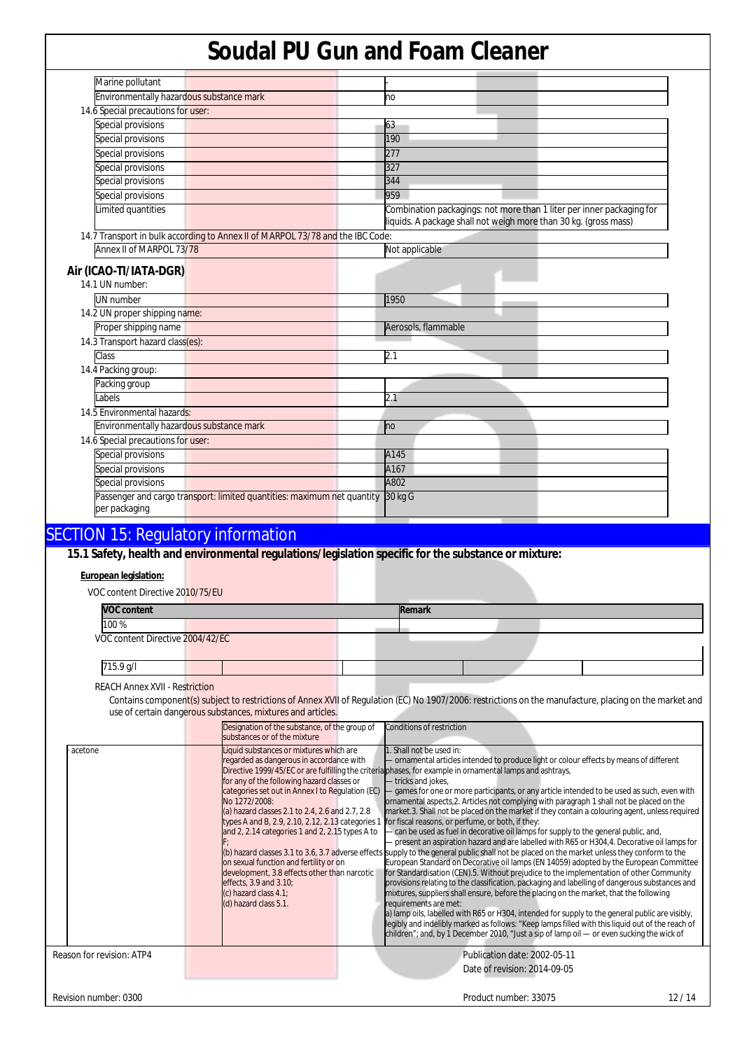| Marine pollutant                                                                         |                                                                                                                                           |
|------------------------------------------------------------------------------------------|-------------------------------------------------------------------------------------------------------------------------------------------|
| Environmentally hazardous substance mark                                                 | no                                                                                                                                        |
| 14.6 Special precautions for user:                                                       |                                                                                                                                           |
| Special provisions                                                                       | 63                                                                                                                                        |
| Special provisions                                                                       | 190                                                                                                                                       |
| Special provisions                                                                       | 277                                                                                                                                       |
| Special provisions                                                                       | 327                                                                                                                                       |
| Special provisions                                                                       | 344                                                                                                                                       |
| Special provisions                                                                       | 959                                                                                                                                       |
| Limited quantities                                                                       | Combination packagings: not more than 1 liter per inner packaging for<br>liquids. A package shall not weigh more than 30 kg. (gross mass) |
| 14.7 Transport in bulk according to Annex II of MARPOL 73/78 and the IBC Code:           |                                                                                                                                           |
| Annex II of MARPOL 73/78                                                                 | Not applicable                                                                                                                            |
| Air (ICAO-TI/IATA-DGR)<br>14.1 UN number:                                                |                                                                                                                                           |
| UN number                                                                                | 1950                                                                                                                                      |
| 14.2 UN proper shipping name:                                                            |                                                                                                                                           |
| Proper shipping name                                                                     | Aerosols, flammable                                                                                                                       |
| 14.3 Transport hazard class(es):                                                         |                                                                                                                                           |
| Class                                                                                    | 2.1                                                                                                                                       |
| 14.4 Packing group:                                                                      |                                                                                                                                           |
| Packing group                                                                            |                                                                                                                                           |
| <b>abels</b>                                                                             | 2.1                                                                                                                                       |
| 14.5 Environmental hazards:                                                              |                                                                                                                                           |
| Environmentally hazardous substance mark                                                 | no                                                                                                                                        |
| 14.6 Special precautions for user:                                                       |                                                                                                                                           |
| Special provisions                                                                       | A145                                                                                                                                      |
| Special provisions                                                                       | A167                                                                                                                                      |
| Special provisions                                                                       | A802                                                                                                                                      |
| Passenger and cargo transport: limited quantities: maximum net quantity<br>per packaging | 30 kg G                                                                                                                                   |
| <b>SECTION 15: Regulatory information</b>                                                |                                                                                                                                           |

## **15.1 Safety, health and environmental regulations/legislation specific for the substance or mixture:**

## **European legislation:**

| VOC content Directive 2010/75/EU |  |        |  |  |
|----------------------------------|--|--------|--|--|
| <b>VOC content</b>               |  | Remark |  |  |
| 100%                             |  |        |  |  |
| VOC content Directive 2004/42/EC |  |        |  |  |
|                                  |  |        |  |  |
| 715.9 g/l                        |  |        |  |  |

REACH Annex XVII - Restriction

Contains component(s) subject to restrictions of Annex XVII of Regulation (EC) No 1907/2006: restrictions on the manufacture, placing on the market and use of certain dangerous substances, mixtures and articles.

|                           | Designation of the substance, of the group of<br>Conditions of restriction<br>substances or of the mixture                                                                                                                                                                                                                                                                                                                                                                                                                                                                                                                                                                                                                                                                                                                                                                                                                                                                                                                                                                                                                                                                                                                                                                                                                                                                                                                                                                                                                                                                                                                                                                                                                                                                                                                                                                                                                                                                                                                                                                                                                                                                                          |
|---------------------------|-----------------------------------------------------------------------------------------------------------------------------------------------------------------------------------------------------------------------------------------------------------------------------------------------------------------------------------------------------------------------------------------------------------------------------------------------------------------------------------------------------------------------------------------------------------------------------------------------------------------------------------------------------------------------------------------------------------------------------------------------------------------------------------------------------------------------------------------------------------------------------------------------------------------------------------------------------------------------------------------------------------------------------------------------------------------------------------------------------------------------------------------------------------------------------------------------------------------------------------------------------------------------------------------------------------------------------------------------------------------------------------------------------------------------------------------------------------------------------------------------------------------------------------------------------------------------------------------------------------------------------------------------------------------------------------------------------------------------------------------------------------------------------------------------------------------------------------------------------------------------------------------------------------------------------------------------------------------------------------------------------------------------------------------------------------------------------------------------------------------------------------------------------------------------------------------------------|
| acetone                   | Liquid substances or mixtures which are<br>1. Shall not be used in:<br>regarded as dangerous in accordance with<br>ornamental articles intended to produce light or colour effects by means of different<br>Directive 1999/45/EC or are fulfilling the criteria phases, for example in ornamental lamps and ashtrays,<br>for any of the following hazard classes or<br>tricks and jokes,<br>categories set out in Annex I to Regulation (EC)<br>- games for one or more participants, or any article intended to be used as such, even with<br>ornamental aspects, 2. Articles not complying with paragraph 1 shall not be placed on the<br>No 1272/2008:<br>market.3. Shall not be placed on the market if they contain a colouring agent, unless required<br>(a) hazard classes 2.1 to 2.4, 2.6 and 2.7, 2.8<br>for fiscal reasons, or perfume, or both, if they:<br>types A and B, 2.9, 2.10, 2.12, 2.13 categories 1<br>can be used as fuel in decorative oil lamps for supply to the general public, and,<br>and 2, 2.14 categories 1 and 2, 2.15 types A to<br>present an aspiration hazard and are labelled with R65 or H304,4. Decorative oil lamps for<br>(b) hazard classes 3.1 to 3.6, 3.7 adverse effects supply to the general public shall not be placed on the market unless they conform to the<br>European Standard on Decorative oil lamps (EN 14059) adopted by the European Committee<br>on sexual function and fertility or on<br>for Standardisation (CEN).5. Without prejudice to the implementation of other Community<br>development, 3.8 effects other than narcotic<br>provisions relating to the classification, packaging and labelling of dangerous substances and<br>effects, 3.9 and 3.10;<br>mixtures, suppliers shall ensure, before the placing on the market, that the following<br>(c) hazard class 4.1;<br>(d) hazard class 5.1.<br>requirements are met:<br>a) lamp oils, labelled with R65 or H304, intended for supply to the general public are visibly,<br>legibly and indelibly marked as follows: "Keep lamps filled with this liquid out of the reach of<br>children"; and, by 1 December 2010, "Just a sip of lamp oil — or even sucking the wick of |
| Reason for revision: ATP4 | Publication date: 2002-05-11<br>Date of revision: 2014-09-05                                                                                                                                                                                                                                                                                                                                                                                                                                                                                                                                                                                                                                                                                                                                                                                                                                                                                                                                                                                                                                                                                                                                                                                                                                                                                                                                                                                                                                                                                                                                                                                                                                                                                                                                                                                                                                                                                                                                                                                                                                                                                                                                        |
| Revision number: 0300     | Product number: 33075<br>12/14                                                                                                                                                                                                                                                                                                                                                                                                                                                                                                                                                                                                                                                                                                                                                                                                                                                                                                                                                                                                                                                                                                                                                                                                                                                                                                                                                                                                                                                                                                                                                                                                                                                                                                                                                                                                                                                                                                                                                                                                                                                                                                                                                                      |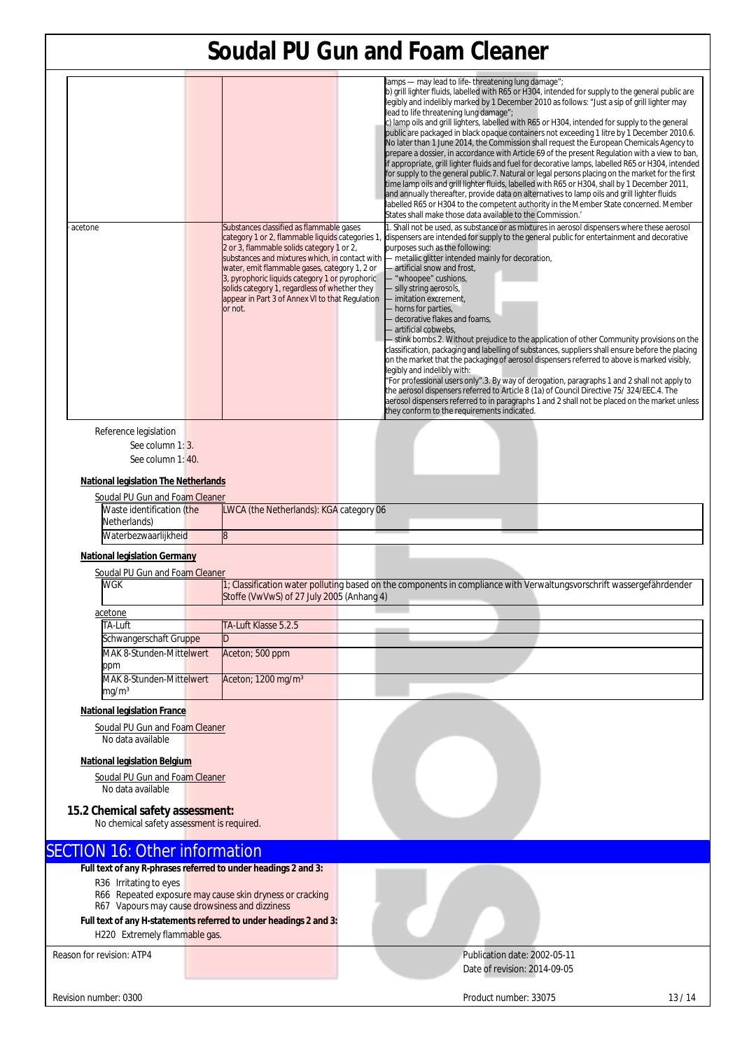| acetone                                                                        |  | Substances classified as flammable gases                                                                                                                                                                                                                                                                      | lamps - may lead to life-threatening lung damage";<br>b) grill lighter fluids, labelled with R65 or H304, intended for supply to the general public are<br>legibly and indelibly marked by 1 December 2010 as follows: "Just a sip of grill lighter may<br>lead to life threatening lung damage";<br>c) lamp oils and grill lighters, labelled with R65 or H304, intended for supply to the general<br>public are packaged in black opaque containers not exceeding 1 litre by 1 December 2010.6.<br>No later than 1 June 2014, the Commission shall request the European Chemicals Agency to<br>prepare a dossier, in accordance with Article 69 of the present Regulation with a view to ban,<br>lif appropriate, grill lighter fluids and fuel for decorative lamps, labelled R65 or H304, intended<br>for supply to the general public.7. Natural or legal persons placing on the market for the first<br>time lamp oils and grill lighter fluids, labelled with R65 or H304, shall by 1 December 2011,<br>and annually thereafter, provide data on alternatives to lamp oils and grill lighter fluids<br>labelled R65 or H304 to the competent authority in the Member State concerned. Member<br>States shall make those data available to the Commission.'<br>1. Shall not be used, as substance or as mixtures in aerosol dispensers where these aerosol |  |  |
|--------------------------------------------------------------------------------|--|---------------------------------------------------------------------------------------------------------------------------------------------------------------------------------------------------------------------------------------------------------------------------------------------------------------|------------------------------------------------------------------------------------------------------------------------------------------------------------------------------------------------------------------------------------------------------------------------------------------------------------------------------------------------------------------------------------------------------------------------------------------------------------------------------------------------------------------------------------------------------------------------------------------------------------------------------------------------------------------------------------------------------------------------------------------------------------------------------------------------------------------------------------------------------------------------------------------------------------------------------------------------------------------------------------------------------------------------------------------------------------------------------------------------------------------------------------------------------------------------------------------------------------------------------------------------------------------------------------------------------------------------------------------------------------------|--|--|
|                                                                                |  | 2 or 3, flammable solids category 1 or 2,<br>substances and mixtures which, in contact with<br>water, emit flammable gases, category 1, 2 or<br>3, pyrophoric liquids category 1 or pyrophoric<br>solids category 1, regardless of whether they<br>appear in Part 3 of Annex VI to that Regulation<br>or not. | category 1 or 2, flammable liquids categories 1, dispensers are intended for supply to the general public for entertainment and decorative<br>purposes such as the following:<br>- metallic glitter intended mainly for decoration,<br>- artificial snow and frost,<br>- "whoopee" cushions,<br>- silly string aerosols,<br>- imitation excrement,<br>- horns for parties,<br>- decorative flakes and foams,<br>artificial cobwebs,<br>- stink bombs.2. Without prejudice to the application of other Community provisions on the<br>classification, packaging and labelling of substances, suppliers shall ensure before the placing<br>on the market that the packaging of aerosol dispensers referred to above is marked visibly,<br>legibly and indelibly with:<br>"For professional users only".3. By way of derogation, paragraphs 1 and 2 shall not apply to<br>the aerosol dispensers referred to Article 8 (1a) of Council Directive 75/ 324/EEC.4. The<br>aerosol dispensers referred to in paragraphs 1 and 2 shall not be placed on the market unless<br>they conform to the requirements indicated.                                                                                                                                                                                                                                                 |  |  |
| Reference legislation<br>See column 1: 3.<br>See column 1:40.                  |  |                                                                                                                                                                                                                                                                                                               |                                                                                                                                                                                                                                                                                                                                                                                                                                                                                                                                                                                                                                                                                                                                                                                                                                                                                                                                                                                                                                                                                                                                                                                                                                                                                                                                                                  |  |  |
| <b>National legislation The Netherlands</b>                                    |  |                                                                                                                                                                                                                                                                                                               |                                                                                                                                                                                                                                                                                                                                                                                                                                                                                                                                                                                                                                                                                                                                                                                                                                                                                                                                                                                                                                                                                                                                                                                                                                                                                                                                                                  |  |  |
| Soudal PU Gun and Foam Cleaner                                                 |  |                                                                                                                                                                                                                                                                                                               |                                                                                                                                                                                                                                                                                                                                                                                                                                                                                                                                                                                                                                                                                                                                                                                                                                                                                                                                                                                                                                                                                                                                                                                                                                                                                                                                                                  |  |  |
| Waste identification (the<br>Netherlands)                                      |  | LWCA (the Netherlands): KGA category 06                                                                                                                                                                                                                                                                       |                                                                                                                                                                                                                                                                                                                                                                                                                                                                                                                                                                                                                                                                                                                                                                                                                                                                                                                                                                                                                                                                                                                                                                                                                                                                                                                                                                  |  |  |
| Waterbezwaarlijkheid                                                           |  | 8                                                                                                                                                                                                                                                                                                             |                                                                                                                                                                                                                                                                                                                                                                                                                                                                                                                                                                                                                                                                                                                                                                                                                                                                                                                                                                                                                                                                                                                                                                                                                                                                                                                                                                  |  |  |
| <b>National legislation Germany</b><br>Soudal PU Gun and Foam Cleaner          |  |                                                                                                                                                                                                                                                                                                               |                                                                                                                                                                                                                                                                                                                                                                                                                                                                                                                                                                                                                                                                                                                                                                                                                                                                                                                                                                                                                                                                                                                                                                                                                                                                                                                                                                  |  |  |
| <b>WGK</b>                                                                     |  | Stoffe (VwVwS) of 27 July 2005 (Anhang 4)                                                                                                                                                                                                                                                                     | 1; Classification water polluting based on the components in compliance with Verwaltungsvorschrift wassergefährdender                                                                                                                                                                                                                                                                                                                                                                                                                                                                                                                                                                                                                                                                                                                                                                                                                                                                                                                                                                                                                                                                                                                                                                                                                                            |  |  |
| acetone                                                                        |  |                                                                                                                                                                                                                                                                                                               |                                                                                                                                                                                                                                                                                                                                                                                                                                                                                                                                                                                                                                                                                                                                                                                                                                                                                                                                                                                                                                                                                                                                                                                                                                                                                                                                                                  |  |  |
| TA-Luft                                                                        |  | TA-Luft Klasse 5.2.5                                                                                                                                                                                                                                                                                          |                                                                                                                                                                                                                                                                                                                                                                                                                                                                                                                                                                                                                                                                                                                                                                                                                                                                                                                                                                                                                                                                                                                                                                                                                                                                                                                                                                  |  |  |
| Schwangerschaft Gruppe                                                         |  |                                                                                                                                                                                                                                                                                                               |                                                                                                                                                                                                                                                                                                                                                                                                                                                                                                                                                                                                                                                                                                                                                                                                                                                                                                                                                                                                                                                                                                                                                                                                                                                                                                                                                                  |  |  |
| MAK 8-Stunden-Mittelwert                                                       |  | Aceton; 500 ppm                                                                                                                                                                                                                                                                                               |                                                                                                                                                                                                                                                                                                                                                                                                                                                                                                                                                                                                                                                                                                                                                                                                                                                                                                                                                                                                                                                                                                                                                                                                                                                                                                                                                                  |  |  |
| ppm                                                                            |  |                                                                                                                                                                                                                                                                                                               |                                                                                                                                                                                                                                                                                                                                                                                                                                                                                                                                                                                                                                                                                                                                                                                                                                                                                                                                                                                                                                                                                                                                                                                                                                                                                                                                                                  |  |  |
| MAK 8-Stunden-Mittelwert<br>mq/m <sup>3</sup>                                  |  | Aceton; 1200 mg/m <sup>3</sup>                                                                                                                                                                                                                                                                                |                                                                                                                                                                                                                                                                                                                                                                                                                                                                                                                                                                                                                                                                                                                                                                                                                                                                                                                                                                                                                                                                                                                                                                                                                                                                                                                                                                  |  |  |
| <b>National legislation France</b>                                             |  |                                                                                                                                                                                                                                                                                                               |                                                                                                                                                                                                                                                                                                                                                                                                                                                                                                                                                                                                                                                                                                                                                                                                                                                                                                                                                                                                                                                                                                                                                                                                                                                                                                                                                                  |  |  |
|                                                                                |  |                                                                                                                                                                                                                                                                                                               |                                                                                                                                                                                                                                                                                                                                                                                                                                                                                                                                                                                                                                                                                                                                                                                                                                                                                                                                                                                                                                                                                                                                                                                                                                                                                                                                                                  |  |  |
| Soudal PU Gun and Foam Cleaner<br>No data available                            |  |                                                                                                                                                                                                                                                                                                               |                                                                                                                                                                                                                                                                                                                                                                                                                                                                                                                                                                                                                                                                                                                                                                                                                                                                                                                                                                                                                                                                                                                                                                                                                                                                                                                                                                  |  |  |
|                                                                                |  |                                                                                                                                                                                                                                                                                                               |                                                                                                                                                                                                                                                                                                                                                                                                                                                                                                                                                                                                                                                                                                                                                                                                                                                                                                                                                                                                                                                                                                                                                                                                                                                                                                                                                                  |  |  |
| <b>National legislation Belgium</b>                                            |  |                                                                                                                                                                                                                                                                                                               |                                                                                                                                                                                                                                                                                                                                                                                                                                                                                                                                                                                                                                                                                                                                                                                                                                                                                                                                                                                                                                                                                                                                                                                                                                                                                                                                                                  |  |  |
| Soudal PU Gun and Foam Cleaner                                                 |  |                                                                                                                                                                                                                                                                                                               |                                                                                                                                                                                                                                                                                                                                                                                                                                                                                                                                                                                                                                                                                                                                                                                                                                                                                                                                                                                                                                                                                                                                                                                                                                                                                                                                                                  |  |  |
| No data available                                                              |  |                                                                                                                                                                                                                                                                                                               |                                                                                                                                                                                                                                                                                                                                                                                                                                                                                                                                                                                                                                                                                                                                                                                                                                                                                                                                                                                                                                                                                                                                                                                                                                                                                                                                                                  |  |  |
|                                                                                |  |                                                                                                                                                                                                                                                                                                               |                                                                                                                                                                                                                                                                                                                                                                                                                                                                                                                                                                                                                                                                                                                                                                                                                                                                                                                                                                                                                                                                                                                                                                                                                                                                                                                                                                  |  |  |
| 15.2 Chemical safety assessment:<br>No chemical safety assessment is required. |  |                                                                                                                                                                                                                                                                                                               |                                                                                                                                                                                                                                                                                                                                                                                                                                                                                                                                                                                                                                                                                                                                                                                                                                                                                                                                                                                                                                                                                                                                                                                                                                                                                                                                                                  |  |  |
|                                                                                |  |                                                                                                                                                                                                                                                                                                               |                                                                                                                                                                                                                                                                                                                                                                                                                                                                                                                                                                                                                                                                                                                                                                                                                                                                                                                                                                                                                                                                                                                                                                                                                                                                                                                                                                  |  |  |
| <b>SECTION 16: Other information</b>                                           |  |                                                                                                                                                                                                                                                                                                               |                                                                                                                                                                                                                                                                                                                                                                                                                                                                                                                                                                                                                                                                                                                                                                                                                                                                                                                                                                                                                                                                                                                                                                                                                                                                                                                                                                  |  |  |
| Full text of any R-phrases referred to under headings 2 and 3:                 |  |                                                                                                                                                                                                                                                                                                               |                                                                                                                                                                                                                                                                                                                                                                                                                                                                                                                                                                                                                                                                                                                                                                                                                                                                                                                                                                                                                                                                                                                                                                                                                                                                                                                                                                  |  |  |
| R36 Irritating to eyes                                                         |  |                                                                                                                                                                                                                                                                                                               |                                                                                                                                                                                                                                                                                                                                                                                                                                                                                                                                                                                                                                                                                                                                                                                                                                                                                                                                                                                                                                                                                                                                                                                                                                                                                                                                                                  |  |  |
| R66 Repeated exposure may cause skin dryness or cracking                       |  |                                                                                                                                                                                                                                                                                                               |                                                                                                                                                                                                                                                                                                                                                                                                                                                                                                                                                                                                                                                                                                                                                                                                                                                                                                                                                                                                                                                                                                                                                                                                                                                                                                                                                                  |  |  |
| R67 Vapours may cause drowsiness and dizziness                                 |  |                                                                                                                                                                                                                                                                                                               |                                                                                                                                                                                                                                                                                                                                                                                                                                                                                                                                                                                                                                                                                                                                                                                                                                                                                                                                                                                                                                                                                                                                                                                                                                                                                                                                                                  |  |  |
|                                                                                |  | Full text of any H-statements referred to under headings 2 and 3:                                                                                                                                                                                                                                             |                                                                                                                                                                                                                                                                                                                                                                                                                                                                                                                                                                                                                                                                                                                                                                                                                                                                                                                                                                                                                                                                                                                                                                                                                                                                                                                                                                  |  |  |
| H220 Extremely flammable gas.                                                  |  |                                                                                                                                                                                                                                                                                                               |                                                                                                                                                                                                                                                                                                                                                                                                                                                                                                                                                                                                                                                                                                                                                                                                                                                                                                                                                                                                                                                                                                                                                                                                                                                                                                                                                                  |  |  |
| Reason for revision: ATP4                                                      |  |                                                                                                                                                                                                                                                                                                               | Publication date: 2002-05-11                                                                                                                                                                                                                                                                                                                                                                                                                                                                                                                                                                                                                                                                                                                                                                                                                                                                                                                                                                                                                                                                                                                                                                                                                                                                                                                                     |  |  |
|                                                                                |  |                                                                                                                                                                                                                                                                                                               | Date of revision: 2014-09-05                                                                                                                                                                                                                                                                                                                                                                                                                                                                                                                                                                                                                                                                                                                                                                                                                                                                                                                                                                                                                                                                                                                                                                                                                                                                                                                                     |  |  |
|                                                                                |  |                                                                                                                                                                                                                                                                                                               |                                                                                                                                                                                                                                                                                                                                                                                                                                                                                                                                                                                                                                                                                                                                                                                                                                                                                                                                                                                                                                                                                                                                                                                                                                                                                                                                                                  |  |  |
| Revision number: 0300                                                          |  |                                                                                                                                                                                                                                                                                                               | Product number: 33075<br>13/14                                                                                                                                                                                                                                                                                                                                                                                                                                                                                                                                                                                                                                                                                                                                                                                                                                                                                                                                                                                                                                                                                                                                                                                                                                                                                                                                   |  |  |
|                                                                                |  |                                                                                                                                                                                                                                                                                                               |                                                                                                                                                                                                                                                                                                                                                                                                                                                                                                                                                                                                                                                                                                                                                                                                                                                                                                                                                                                                                                                                                                                                                                                                                                                                                                                                                                  |  |  |